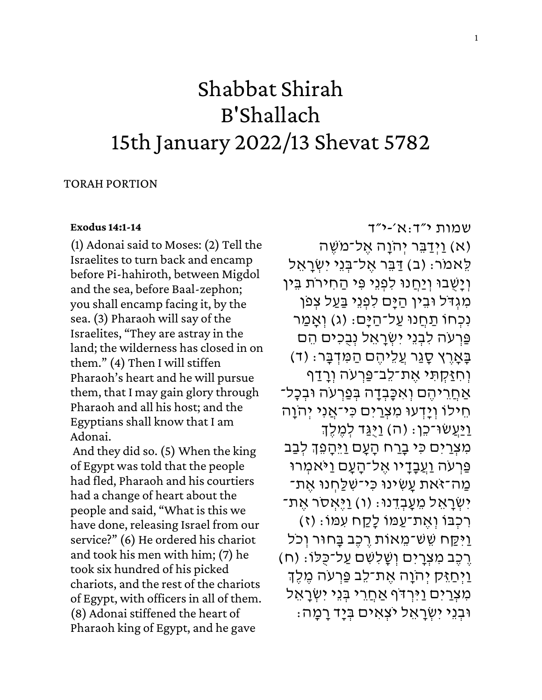# Shabbat Shirah B'Shallach 15th January 2022/13 Shevat 5782

## TORAH PORTION

### **[Exodus 14:1-14](https://www.sefaria.org/Exodus.14.1-14)**

(1) Adonai said to Moses: (2) Tell the Israelites to turn back and encamp before Pi-hahiroth, between Migdol and the sea, before Baal-zephon; you shall encamp facing it, by the sea. (3) Pharaoh will say of the Israelites, "They are astray in the land; the wilderness has closed in on them." (4) Then I will stiffen Pharaoh's heart and he will pursue them, that I may gain glory through Pharaoh and all his host; and the Egyptians shall know that I am Adonai.

And they did so. (5) When the king of Egypt was told that the people had fled, Pharaoh and his courtiers had a change of heart about the people and said, "What is this we have done, releasing Israel from our service?" (6) He ordered his chariot and took his men with him; (7) he took six hundred of his picked chariots, and the rest of the chariots of Egypt, with officers in all of them. (8) Adonai stiffened the heart of Pharaoh king of Egypt, and he gave

[שמות](https://www.sefaria.org/Exodus.14.1-14) [י״ד: א׳-י ״ד](https://www.sefaria.org/Exodus.14.1-14)  א) <u>וַיְדַבְּ</u>ר יְהֹוַה אֲל־מֹשֶׁה) לְאמֹר: (ב) דַּבֶּר אֶל־בָּנֵי יִשְׂרָאֵל וְיַשְׁבוּ וְיַחֲנוּ לִפְנֵי פִּי הַחִירֹת בֵּין מְגְדֹּל וּבֶין הַיָּם לְפְנֵי בַּעַל צְפֹן נְכְחוֹ תַחֲנוּ עֲל־הַיַּם: (ג) וְאֲמַר ְפַּרְעֹה לִבְנֵי יִשְׂרָאֵל נְבֻכִים הֵם ַּבְאַרֶץ סַגַּר עֵלֶיהֶם הַמְּדְבֵָּר: (ד) וְחִזַּקִוְּנִי אֶת־לֶב־פַּרְעֹה וְרַדַף אַחֲרֵיהֶם וְאִכַּבְדָה בְּפַרְעֹה וּבְכַל־ חֵילוֹ וְיָדְעוּ מִצְרַיִם כִּי־אֲנִי יִהֹוַה וַיַּעֲשׂוּ־כִן: (ה) וַיָּגַד לְמֶלֶךְ מִצְרַיִם כִּי בַרַח הַעַם וַיֵּהַפֵּךְ לְבַב ַפְּרְעֹה וַעֲבַדַיו אֶל־הַעַם וַיֹּאמְרוּ ַמַּה־זֹּאת עֲשִׂינוּ כִּי־שָׁלַחְנוּ אֶת־ יִשְׁרָאֵל מֵעֲבְדֵנוּ: (ו) וַיֵּאִסֹר אֶת־ ּרְכְבוֹ וְאֶת־עַמּוֹ לַקַח עִמּוֹ: (ז) ַוַיִּקַּח שֵׁשׁ־מֵאוֹת רֵכֶב בַּחוּר וְכֹל ֶרֶכֶב מִצְרֵיִם וְשַׁלְשָׁם עַל־כַּלוֹ: (ח) ַוַיְּחַזֶּק יְהֹוָה אֶת־לֶב פֵּרְעֹה מֶלֶךְ מִצְרַיִּם וַיִּרְדֹּף אֲחֲרֵי בְּנֵי יְשָׂרַאֵל וּבְנֵי יִשְׂרָאֵל יֹצְאִים בְּיַַד רַמֲה: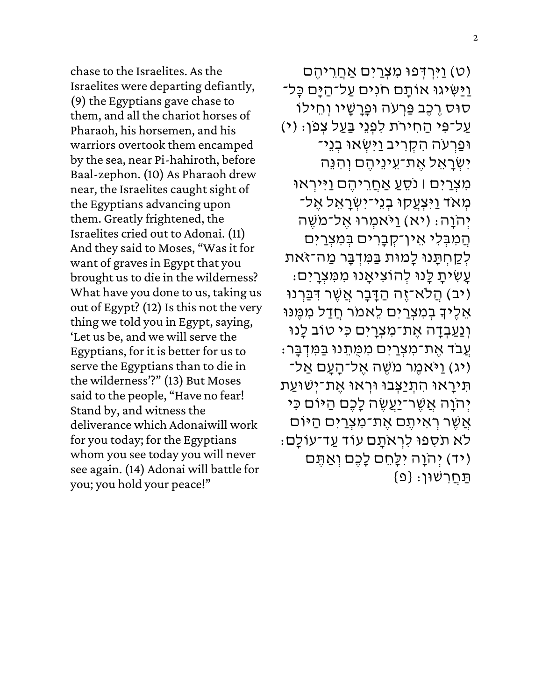chase to the Israelites. As the Israelites were departing defiantly, (9) the Egyptians gave chase to them, and all the chariot horses of Pharaoh, his horsemen, and his warriors overtook them encamped by the sea, near Pi-hahiroth, before Baal-zephon. (10) As Pharaoh drew near, the Israelites caught sight of the Egyptians advancing upon them. Greatly frightened, the Israelites cried out to Adonai. (11) And they said to Moses, "Was it for want of graves in Egypt that you brought us to die in the wilderness? What have you done to us, taking us out of Egypt? (12) Is this not the very thing we told you in Egypt, saying, Let us be, and we will serve the Egyptians, for it is better for us to serve the Egyptians than to die in the wilderness'?" (13) But Moses said to the people, "Have no fear! Stand by, and witness the deliverance which Adonaiwill work for you today; for the Egyptians whom you see today you will never see again. (14) Adonai will battle for you; you hold your peace!"

(ט) וַיִּרְדְּפוּ מְצְרַיִם אַחֲרֵיהֶם וַיַּשִׂיגוּ אוֹתָם חֹנִים עַל־הַיָּם כָּל־ ּסוּס רֵכֶב פַּרְעֹה וּפַרַשֵּׁיו וְחֵילוֹ על־פי החירת לפני בעל צפו: (י) וּפַרְעֹה הִקְרִיב וַיִּשְׂאוּ בְנֵי־ יִשְׂרַאֵל אֶת־עֵינֵיהֶם וְהִנֵּה מְצְרַיִם | נֹסֶעֲ אֲחֲרֵיהֶם וַיִּירְאוּ מְאֹד וַיִּצְעֲקוּ בְנֵי־יִשְׂרָאֵל אֵל־ יְהֹוָה: (יא) וַיֹּאמְרוּ אֱל־מֹשֶׁה הַמְבָּלִי אֵין־קִבְרִים בְּמִצְרַיִם לִקַחְתַּנוּ לַמוּת בַּמִּדְבֵּר מַה־זֹּאת ַעֲשָׂיתַ לֵּנוּ לְהוֹצִיאֲנוּ מִמְּצְרַיִם. (יב) הֵלֹא־זֶה הַדַּבַר אֲשֶׁר דְּבַּרְנוּ אֵלֵיד בְמִצְרַיִם לֵאמֹר חֲדַל מְמֵנּוּ <u>וְנַעֲבְדַה אֶת־מְצְרֵיָם כְּי טוֹב לַנוּ</u> עֵבֹד אֶת־מִצְרַיִם מְמִתֶנוּ בַּמְדְבֵּר: ֿ יֹאמֶר מֹשֶׁה אֱל־הָעָם אַל־) תִּירָאוּ הִתְיַצְבוּ וּרְאוּ אֵת־יִשׁוּעַת יְהֹנָה אֲשֶׁר־יַעֲשֶׂה לָכֵם הַיּוֹם כִּי אֲשֶׁר רְאִיתֶם אֶת־מִצְרַיִם הַיּוֹם לא תֹסְפוּ לִרְאֹתָם עוֹד עַד־עוֹלָם: (יד) יְהֹוָה יִלָּחֵם לָכֶם וְאַתֶּם  $\{9\}$  : תַּחֲרָשׁוּו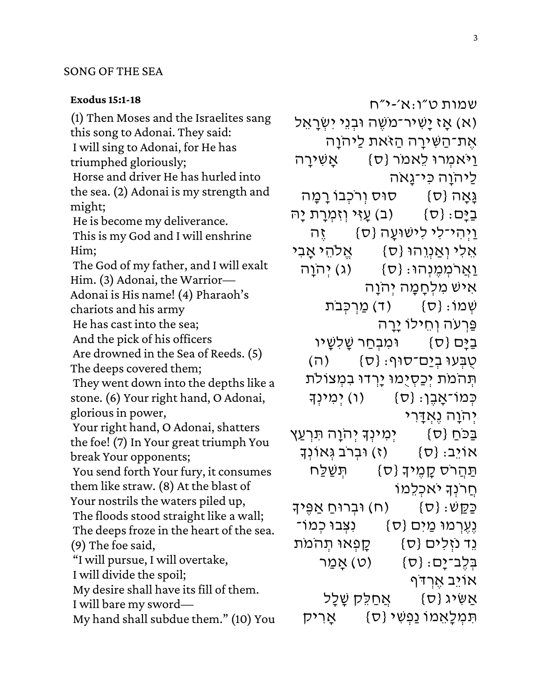### SONG OF THE SEA

#### **[Exodus 15:1-18](https://www.sefaria.org/Exodus.15.1-18)**

(1) Then Moses and the Israelites sang this song to Adonai. They said: I will sing to Adonai, for He has triumphed gloriously; Horse and driver He has hurled into the sea. (2) Adonai is my strength and might; He is become my deliverance. This is my God and I will enshrine Him; The God of my father, and I will exalt Him. (3) Adonai, the Warrior— Adonai is His name! (4) Pharaoh's chariots and his army He has cast into the sea; And the pick of his officers Are drowned in the Sea of Reeds. (5) The deeps covered them; They went down into the depths like a stone. (6) Your right hand, O Adonai, glorious in power, Your right hand, O Adonai, shatters the foe! (7) In Your great triumph You break Your opponents; You send forth Your fury, it consumes them like straw. (8) At the blast of Your nostrils the waters piled up, The floods stood straight like a wall; The deeps froze in the heart of the sea. (9) The foe said, "I will pursue, I will overtake, I will divide the spoil; My desire shall have its fill of them. I will bare my sword— My hand shall subdue them." (10) You

[שמות](https://www.sefaria.org/Exodus.15.1-18) ט״ו:א׳-י״ח (א) אַז יַשִׁיר־מֹשֶׁה וּבְנֵי יִשְׂרַאֵל אֶת־הַשִּׁירָה הַזֹּאת לַיהֹוַה  $\mathbf v$ ויֹאמרוּ לאמר {ס} אשירה לַיהֹוָה כִּי־גַאֹה  $\{\sigma\}$ נְאַה  $\{\sigma\}$ סוּס וְרֹכְבוֹ רָמָה בַיַּם: {ס} ( (ב) עַזִּי וְזָמְרַת יַה וַֹֽיְהִ י־לִ ָ֖י לִ ֹֽיש ו ע ָּ֑ה }ס{ זֶַ֤ה אֵלִי וְאֲנְוְהוּ {ס} אֱ אֱלֹהֵי אֲבִי וַאֲ רֹמְ מֶ ֹֽנְהו ׃ }ס{ )ג( יְ הֹו ָ֖ה אִישׁ מִלְחַמַּה יְהֹוַה שְׁמוֹ:  $\{\sigma\}$  (ד) מַרְכְּבֹת פֵּרְעֹה וְחֵילוֹ <u>יר</u>ה בים {ס} נמבחר שלשיו  $($ הָעוּ בְיַם־סוּף:  $\sigma$  } (ה) תְּהֹמֹת יְכַסְיָמוּ יָרְדוּ בִמְצוֹלֹת .<br>כְּמוֹ־אָבֶן: {ס} (ו) יְמִינְךָ יְהֹוַה נֵאְדַּרִי .<br>בַּכֹּחַ {ס} | יְמִינְךָ יְהֹוָה תִּרְעַץ .<br>אוֹיֵב: {ס} (ז) וּבְרֹב גְּאוֹנְךָ ׇך ַת ֲה ֹרס ק ֶמי }ס{ ת ְ ש ַ ל ַחּ֙ .<br>חֲרֹנְךָ יֹאכְלֵמוֹ כַּקַשׁ: {ס} (ח) וּבְרוּחַ אַפֶּיךָ נֵעֶרְמוּ מַיִּם {ס} פְּצְבוּ כְמוֹ־ נִד נֹזְלִ**ים {ס}** קַפְּאוּ תְהֹמֹת בְלֶב־יָם: {ס} (ט) אָמַר אוֹיֵב אֵרְדֹף אַ (ס $($ ס אַחַלֵּק שַׁלַל ת מלאמוֹ נפּשׁי {ס} אריק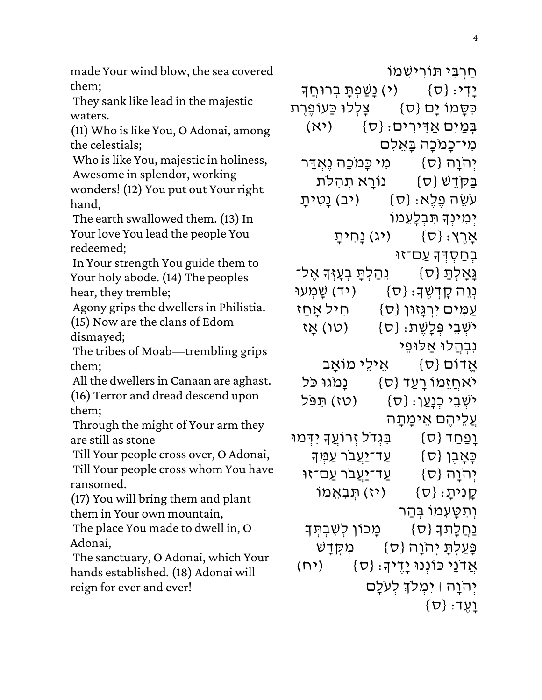made Your wind blow, the sea covered them;

They sank like lead in the majestic waters.

(11) Who is like You, O Adonai, among the celestials;

Who is like You, majestic in holiness, Awesome in splendor, working wonders! (12) You put out Your right hand,

The earth swallowed them. (13) In Your love You lead the people You redeemed:

In Your strength You guide them to Your holy abode. (14) The peoples hear, they tremble;

Agony grips the dwellers in Philistia. (15) Now are the clans of Edom dismayed;

The tribes of Moab—trembling grips them;

All the dwellers in Canaan are aghast. (16) Terror and dread descend upon them;

Through the might of Your arm they are still as stone—

Till Your people cross over, O Adonai, Till Your people cross whom You have ransomed.

(17) You will bring them and plant them in Your own mountain,

The place You made to dwell in, O Adonai.

The sanctuary, O Adonai, which Your hands established. (18) Adonai will reign for ever and ever!

ּחַרְבִּי תּוֹרִישֶׁמוֹ יַרִי: {ס} (י) נַשַּׁפְתָּ בְרוּחֲדָ כִּסָּמוֹ יָם {ס} צְלְלוּ כַּעוֹפְרֶת  $(N^{\prime})$  $\{\nabla\}$  : במים אדירים מי־כַמֹכַה בַּאֲלָם בַּקְדֶשׁ (ס) נוֹרָא תְהִלֹּת עֹשֶׂה פְּלֵא: {ס} (יב) נַטְיתַ יְמִינְךָ תִּבְלַעֵמוֹ  $\mathfrak{D}'$ אַרֵץ:  $\{\nabla\}$  (יג) נַחִית בְחַסְדָּךְ עַם־זוּ נְאָלְתָּ {ס} נְהַלְתָּ בְעָזְךָ אֶל־ יְוָה קָדְשֶׁךָ: {ס} (יד) שָׁמְעוּ עַמִּים יִרְגָּזוּן {ס} תִּיל אָחַז יֹשְׁבֵי פְּלַשֶּׁת: {ס} (טו) אַז נִבְהֲלוּ אֲלוּפֵי אדום {ס} אילי מוֹאב יֹאחֲזֵמוֹ רָעַד {ס} נַמֹגוּ כֹּל יֹשְׁבֵי כְנָעַן: {ס} (טז) תפל עֵלֵיהֵם אֵימַתַּה וַפַּחַד (ס) בִּגְדֹל זְרוֹעֲךָ יִדְמוּ יִדְיֶּיֶיִי עֲרֹיַיַּבֶּר עֲם־זוּ<br>יְהֹוָה {ס} | עֲד־יַעֲבֹר עַם־זוּ קֶנְיתָ: {ס} (יז) תְּבְאֵמוֹ וְתְטַעֱמוֹ בְּהַר נַחֲלָתְךָ {ס} בְּיִנְדָ פָּעַלְתָּ יְהֹוָה {ס} בִּיקְדָשׁ אֲדֹנָי כּוֹנְנוּ יָדֶיךָ: {ס} (יח) יְהֹוַה | יִמְלֹךְ לְעֹלַם  $\{\nabla\}$ : ועד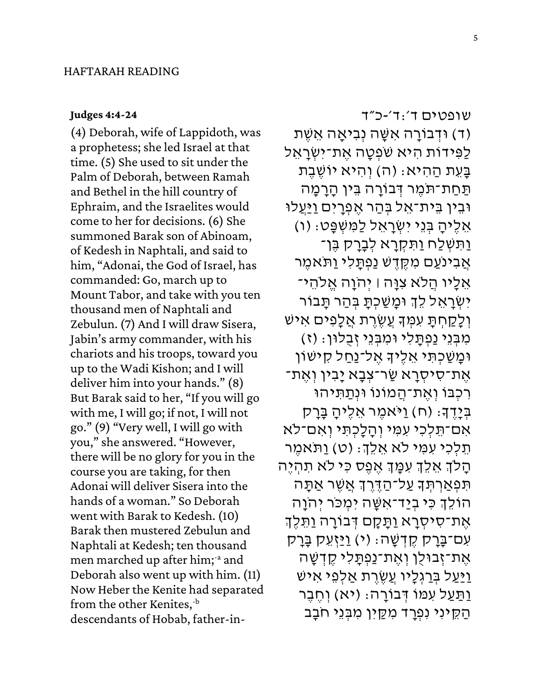## **[Judges 4:4-24](https://www.sefaria.org/Judges.4.4-24)**

(4) Deborah, wife of Lappidoth, was a prophetess; she led Israel at that time. (5) She used to sit under the Palm of Deborah, between Ramah and Bethel in the hill country of Ephraim, and the Israelites would come to her for decisions. (6) She summoned Barak son of Abinoam, of Kedesh in Naphtali, and said to him, "Adonai, the God of Israel, has commanded: Go, march up to Mount Tabor, and take with you ten thousand men of Naphtali and Zebulun. (7) And I will draw Sisera, Jabin's army commander, with his chariots and his troops, toward you up to the Wadi Kishon; and I will deliver him into your hands." (8) But Barak said to her, "If you will go with me, I will go; if not, I will not go." (9) "Very well, I will go with you," she answered. "However, there will be no glory for you in the course you are taking, for then Adonai will deliver Sisera into the hands of a woman." So Deborah went with Barak to Kedesh. (10) Barak then mustered Zebulun and Naphtali at Kedesh; ten thousand men marched up after him;<sup>-a</sup> and Deborah also went up with him. (11) Now Heber the Kenite had separated from the other Kenites,-b descendants of Hobab, father-in-

[שופטים](https://www.sefaria.org/Judges.4.4-24) [ד ׳:ד׳- כ״ ד](https://www.sefaria.org/Judges.4.4-24)(ד) וּדְבוֹרַה אִשֵּׁה נְבִיאַה אֵשֶׁת לַפִּידוֹת הִיא שֹׁפְטָה אֶת־יִשְׂרָאֵל בַּעֶת הַהִיא: (ה) וְהִיא יוֹשֵׁבֶת תַּחַת־תֹּמֵר דְּבוֹרָה בִּין הָרָמָה וּבֵין בֵּית־אֵל בִּהַר אֵפְ<u>רִיִם וַיַּע</u>ֲלוּ אֵלֶיהָ בְּנֵי יִשְׂרָאֵל לַמְּשְׁפָּט: (ו) וַתְּשָׁלַח וַתִּקְרָא לְבָרָק בֵּן־ אֲבִינֹעַם מִקֱדֶשׁ נַפְתָּלִי וַתֹּאמֶר אֵלֵיו הֲלֹא צִוָּה ו יְהֹוָה אֱלֹהֵי־ יִשְׂרָאֵל לֵךְ וּמָשַׁכְתָּ בְּהַר תָּבוֹר ֿיִרָ<br>וְלָקַחְתָּ עִמְּךָ עֲשֶׂרֶת אֲלָפִים אִיש מִבְּנֵי נַפְתָּלִי וּמִבְּנֵי זְבָלוּן: (ז) וּמָשַׁכְתִּי אֵלֶיךָ אֱל־נַחַל קִישׁוֹן ּאֶת־סִיסָרַא שַׂר־צְבַא יַבְין וְאֶת־ ּרְכְבוֹ וְאֶת־הֲמוֹנוֹ וּנְתַתְּיהוּ בְּיַדֵדָ: (ח) וַיֹּאמֶר אֵלֶיהַ בַּרַק אִם־תֵּלְכִי עִמְי וְהָלָכְתִּי וְאִם־לֹא הַלְכִי עִמְי לֹא אֵלֵךְ: (ט) וַתֹּאמֶר הָלֹךְ אֵלֵךְ עִמֲךָ אֶפֶס כִּי לֹא תִהְיֶה .<br>תִּפְאַרְתְּךָ עַל־הַדֶּרֶךְ אֲשֶר אַתָּה .<br>הוֹלֵךְ כִּי בְיַד־אִשָּׁה יִמְכֹּר יְהֹוָה אֶת־סִיּסְרַא וַתַּקַם דְּבוֹרַה וַתֵּלֶ<u>דְ</u> עִם־בַּרַק קֵדְשָּׁה: (י) <u>ו</u>יַּזְעֵק בַּרָק אֶת־זְבוּלֶן וְאֶת־נַפְתָּלִי קֵדְשָָה <u>וַיַּע</u>ל בְּרַגְלָיו עֲשֶׂרֵת אַלְפֵי אִישׁ וַתַּעַל עִמּוֹ דְּבוֹרַה: (יא) וְחֶבֶר הַקֵּינִי נִפְרַד מִקֵיִן מִבְּנֵי חֹבַב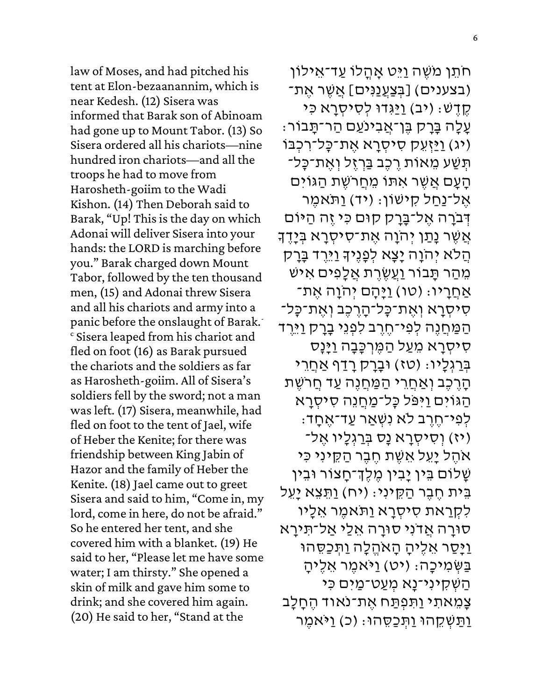law of Moses, and had pitched his tent at Elon-bezaanannim, which is near Kedesh. (12) Sisera was informed that Barak son of Abinoam had gone up to Mount Tabor. (13) So Sisera ordered all his chariots—nine hundred iron chariots—and all the troops he had to move from Harosheth-goiim to the Wadi Kishon. (14) Then Deborah said to Barak, "Up! This is the day on which Adonai will deliver Sisera into your hands: the LORD is marching before you." Barak charged down Mount Tabor, followed by the ten thousand men, (15) and Adonai threw Sisera and all his chariots and army into a panic before the onslaught of Barak. <sup>c</sup> Sisera leaped from his chariot and fled on foot (16) as Barak pursued the chariots and the soldiers as far as Harosheth-goiim. All of Sisera's soldiers fell by the sword; not a man was left. (17) Sisera, meanwhile, had fled on foot to the tent of Jael, wife of Heber the Kenite; for there was friendship between King Jabin of Hazor and the family of Heber the Kenite. (18) Jael came out to greet Sisera and said to him, "Come in, my lord, come in here, do not be afraid." So he entered her tent, and she covered him with a blanket. (19) He said to her, "Please let me have some water; I am thirsty." She opened a skin of milk and gave him some to drink; and she covered him again. (20) He said to her, "Stand at the

ֹחֹתֵן מֹשֶׁה <u>וַי</u>ֵּּט אַהֲלוֹ עַד־אֵילוֹן ֿ (בצענים) [בְּצ<u>ַעֲנַ</u>ּנִּים] אֲשֶׁר אֶת) ַקְדָשׁ: (יִב) <u>וַי</u>ּגְדוּ לְסִיסְרַא כִּי ַעֲלֵה בַּרַק בֶּן־אֱבִינֹעַם הַר־תַּבוֹר: יג) <u>ויזעק סיסרא את־כל־רכבו)</u> ּתְּשֵׁע מֵאוֹת רֶכֶב בַּרְזֶל וְאֶת־כָּל־ הָעָם אֲשֶׁר אִתּוֹ מֵחֲרֹשֵׁת הַגּוֹיִם אֶל־נַחַל קִישׁוֹו: (יד) וַתֹּאמֶר דְּבֹרָה אֶל־בָּרָק קוּם כִּי יֶה הַיּוֹם ְאֲשֶׁר נַתֲן יְהֹוַה אֱת־סִיסְרַא בְּיַדֶךָ הֲלֹא יִהֹוָה יָצָא לְפָנֵיךְ וַיֵּרֶד בָּרָק מֶהַר תַּבוֹר וַעֲשֶׂרֶת אֲלַפִים אִישׁ ַאַחֲרָיו: (טו) וַיָּהָם יְהֹוָה אֶת־ ּסִיסְרָא וְאֶת־כָּל־הַרֶכֶב וְאֶת־כָּל־ הַמַּחֲנֶה לְפִי־חֶרֶב לִפְנֵי בָרָק וַיֵּרֶד ְסִיּסְרָא מֵעַל הַמֵּרְכַּבָה וַיַּנָּס בְּרַגְלֵ**יו: (טז) וּבַרַק רַדַף אַחֲרֵי** הַרֶּכֶב וְאַחֲרֶי הַמֲחֲנֶה עַד חֲרֹשֶׁת ְהַגּוֹיִם וַיִּפּל כָּל־מַחֲנֵה סִיסְרָא ּלְפִי־חֶרֶב לֹא נִשְׁאַר עַד־אֶחַד: יט (יז) וְסִיסְרַא <u>נֵ</u>ּס בְּרַגְלֵיו אֶל־ אֹהֶל יַעֲל אֵשֶׁת חֶבֶר הַקֶּינִי כִּי .<br>שָׁלֹוֹם בֵּין יָבִין מֶלֶךְ־חֲצוֹר וּבֵין בִּית חֶבֶר הַקֵ**ינִי: (יח) וַ**תֵּצֵא יַעֵל לִקְרַאת סִיסְרַא וַתֹּאמֶר אֵלַיו סוּרַה אֲדֹנִי סוּרַה אָלַי אַל־תֵירַא וַיַּסַר אֵלֶיהָ הָאֹהֱלָה וַתְּכַסֵּהוּ ַבַּשְׂמִיכָה: (יט) וַיֹּאמֵר אֵלֵיהָ ְהַשְׁקִיּנִי־נַא מְעַט־מַיִּם כִּי צַמֶּאתִי <u>וַ</u>תְּפְתַּח אֶת־נֹאוד הֶחַלֵּב וַתַּשְׁקֵהוּ וַתְּכַסֶּהוּ: (כ) וַיֹּאמֶר